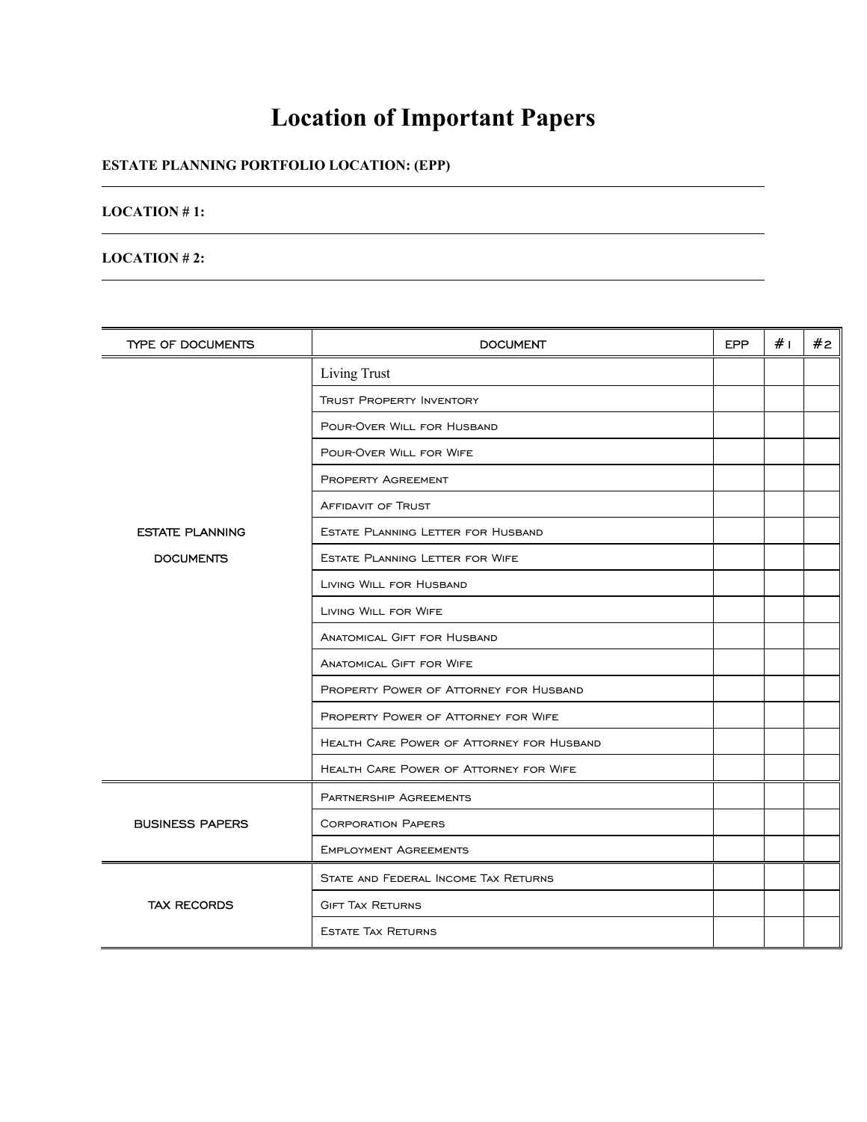## **Location of Important Papers**

## **ESTATE PLANNING PORTFOLIO LOCATION: (EPP)**

## **LOCATION # 1:**

l

 $\overline{a}$ 

## **LOCATION # 2:**

| TYPE OF DOCUMENTS                          | <b>DOCUMENT</b>                                  | <b>EPP</b> | # <sub>1</sub> | #2 |
|--------------------------------------------|--------------------------------------------------|------------|----------------|----|
| <b>ESTATE PLANNING</b><br><b>DOCUMENTS</b> | <b>Living Trust</b>                              |            |                |    |
|                                            | <b>TRUST PROPERTY INVENTORY</b>                  |            |                |    |
|                                            | POUR-OVER WILL FOR HUSBAND                       |            |                |    |
|                                            | POUR-OVER WILL FOR WIFE                          |            |                |    |
|                                            | <b>PROPERTY AGREEMENT</b>                        |            |                |    |
|                                            | <b>AFFIDAVIT OF TRUST</b>                        |            |                |    |
|                                            | ESTATE PLANNING LETTER FOR HUSBAND               |            |                |    |
|                                            | <b>ESTATE PLANNING LETTER FOR WIFE</b>           |            |                |    |
|                                            | LIVING WILL FOR HUSBAND                          |            |                |    |
|                                            | LIVING WILL FOR WIFE                             |            |                |    |
|                                            | <b>ANATOMICAL GIFT FOR HUSBAND</b>               |            |                |    |
|                                            | <b>ANATOMICAL GIFT FOR WIFE</b>                  |            |                |    |
|                                            | PROPERTY POWER OF ATTORNEY FOR HUSBAND           |            |                |    |
|                                            | <b>PROPERTY POWER OF ATTORNEY FOR WIFE</b>       |            |                |    |
|                                            | <b>HEALTH CARE POWER OF ATTORNEY FOR HUSBAND</b> |            |                |    |
|                                            | <b>HEALTH CARE POWER OF ATTORNEY FOR WIFE</b>    |            |                |    |
| <b>BUSINESS PAPERS</b>                     | <b>PARTNERSHIP AGREEMENTS</b>                    |            |                |    |
|                                            | <b>CORPORATION PAPERS</b>                        |            |                |    |
|                                            | <b>EMPLOYMENT AGREEMENTS</b>                     |            |                |    |
| <b>TAX RECORDS</b>                         | STATE AND FEDERAL INCOME TAX RETURNS             |            |                |    |
|                                            | <b>GIFT TAX RETURNS</b>                          |            |                |    |
|                                            | <b>ESTATE TAX RETURNS</b>                        |            |                |    |